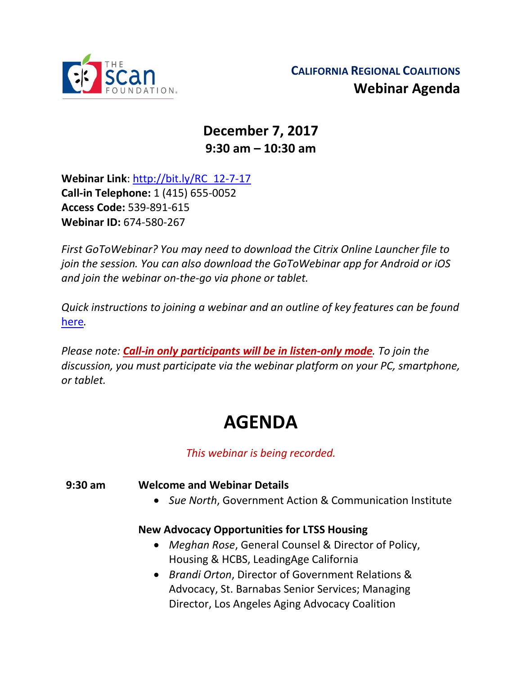

## **December 7, 2017 9:30 am – 10:30 am**

**Webinar Link**: [http://bit.ly/RC\\_12-7-17](http://bit.ly/RC_12-7-17) **Call-in Telephone:** 1 (415) 655-0052 **Access Code:** 539-891-615 **Webinar ID:** 674-580-267

*First GoToWebinar? You may need to download the Citrix Online Launcher file to join the session. You can also download the GoToWebinar app for Android or iOS and join the webinar on-the-go via phone or tablet.* 

*Quick instructions to joining a webinar and an outline of key features can be found*  [here](http://thescanfoundationsummit.homestead.com/GoToWebinar_Participant_Guide_3.pdf)*.*

*Please note: Call-in only participants will be in listen-only mode. To join the discussion, you must participate via the webinar platform on your PC, smartphone, or tablet.* 

## **AGENDA**

*This webinar is being recorded.*

**9:30 am Welcome and Webinar Details**

• *Sue North*, Government Action & Communication Institute

## **New Advocacy Opportunities for LTSS Housing**

- *Meghan Rose*, General Counsel & Director of Policy, Housing & HCBS, LeadingAge California
- *Brandi Orton*, Director of Government Relations & Advocacy, St. Barnabas Senior Services; Managing Director, Los Angeles Aging Advocacy Coalition